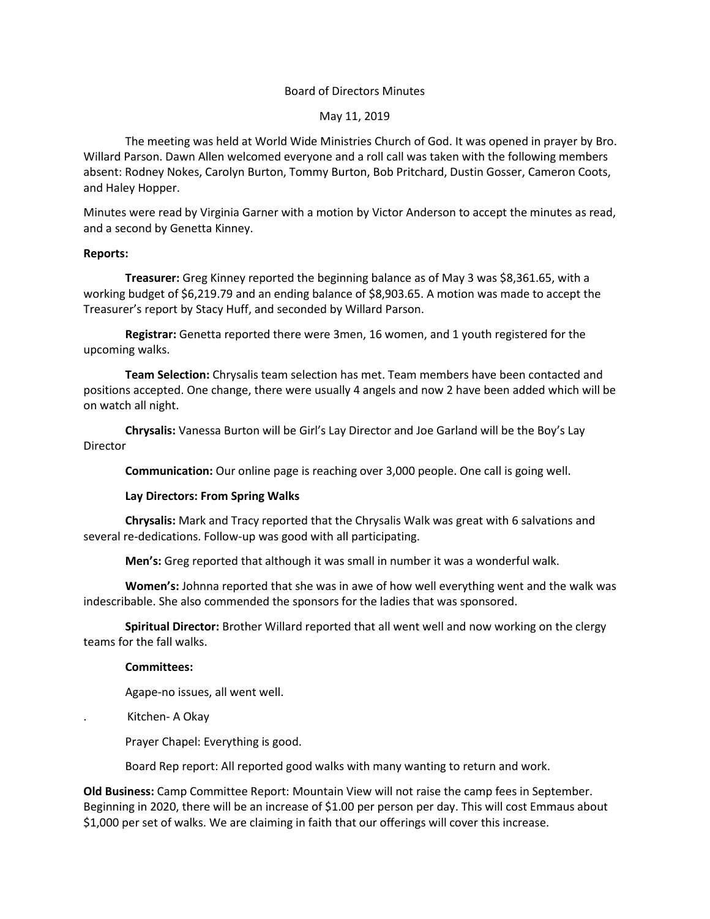## Board of Directors Minutes

### May 11, 2019

The meeting was held at World Wide Ministries Church of God. It was opened in prayer by Bro. Willard Parson. Dawn Allen welcomed everyone and a roll call was taken with the following members absent: Rodney Nokes, Carolyn Burton, Tommy Burton, Bob Pritchard, Dustin Gosser, Cameron Coots, and Haley Hopper.

Minutes were read by Virginia Garner with a motion by Victor Anderson to accept the minutes as read, and a second by Genetta Kinney.

#### **Reports:**

**Treasurer:** Greg Kinney reported the beginning balance as of May 3 was \$8,361.65, with a working budget of \$6,219.79 and an ending balance of \$8,903.65. A motion was made to accept the Treasurer's report by Stacy Huff, and seconded by Willard Parson.

**Registrar:** Genetta reported there were 3men, 16 women, and 1 youth registered for the upcoming walks.

**Team Selection:** Chrysalis team selection has met. Team members have been contacted and positions accepted. One change, there were usually 4 angels and now 2 have been added which will be on watch all night.

**Chrysalis:** Vanessa Burton will be Girl's Lay Director and Joe Garland will be the Boy's Lay Director

**Communication:** Our online page is reaching over 3,000 people. One call is going well.

# **Lay Directors: From Spring Walks**

**Chrysalis:** Mark and Tracy reported that the Chrysalis Walk was great with 6 salvations and several re-dedications. Follow-up was good with all participating.

**Men's:** Greg reported that although it was small in number it was a wonderful walk.

**Women's:** Johnna reported that she was in awe of how well everything went and the walk was indescribable. She also commended the sponsors for the ladies that was sponsored.

**Spiritual Director:** Brother Willard reported that all went well and now working on the clergy teams for the fall walks.

#### **Committees:**

Agape-no issues, all went well.

. Kitchen- A Okay

Prayer Chapel: Everything is good.

Board Rep report: All reported good walks with many wanting to return and work.

**Old Business:** Camp Committee Report: Mountain View will not raise the camp fees in September. Beginning in 2020, there will be an increase of \$1.00 per person per day. This will cost Emmaus about \$1,000 per set of walks. We are claiming in faith that our offerings will cover this increase.